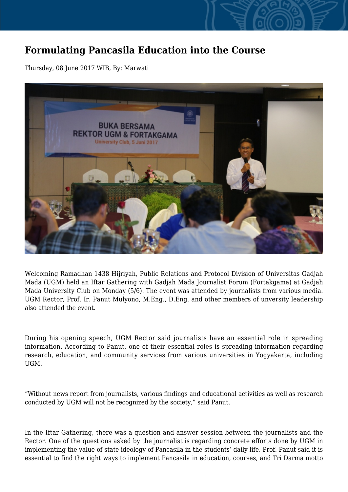## **Formulating Pancasila Education into the Course**

Thursday, 08 June 2017 WIB, By: Marwati



Welcoming Ramadhan 1438 Hijriyah, Public Relations and Protocol Division of Universitas Gadjah Mada (UGM) held an Iftar Gathering with Gadjah Mada Journalist Forum (Fortakgama) at Gadjah Mada University Club on Monday (5/6). The event was attended by journalists from various media. UGM Rector, Prof. Ir. Panut Mulyono, M.Eng., D.Eng. and other members of unversity leadership also attended the event.

During his opening speech, UGM Rector said journalists have an essential role in spreading information. According to Panut, one of their essential roles is spreading information regarding research, education, and community services from various universities in Yogyakarta, including UGM.

"Without news report from journalists, various findings and educational activities as well as research conducted by UGM will not be recognized by the society," said Panut.

In the Iftar Gathering, there was a question and answer session between the journalists and the Rector. One of the questions asked by the journalist is regarding concrete efforts done by UGM in implementing the value of state ideology of Pancasila in the students' daily life. Prof. Panut said it is essential to find the right ways to implement Pancasila in education, courses, and Tri Darma motto